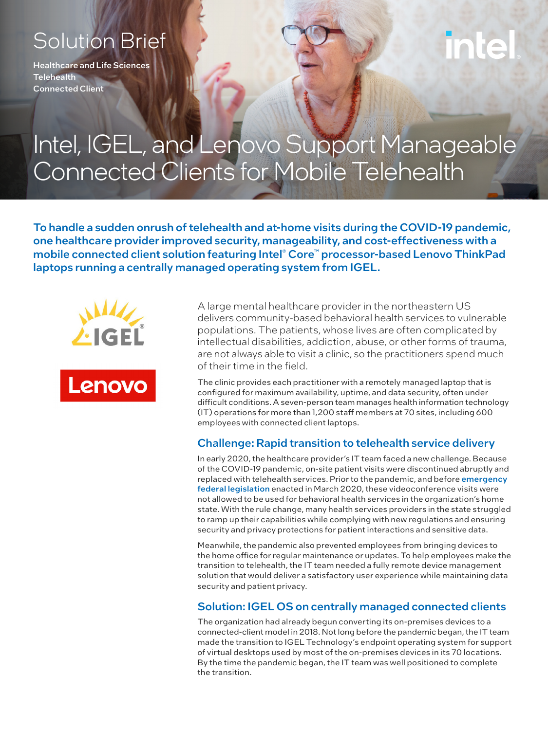# Solution Brief

Healthcare and Life Sciences **Telehealth** Connected Client

# Intel, IGEL, and Lenovo Support Manageable Connected Clients for Mobile Telehealth

To handle a sudden onrush of telehealth and at-home visits during the COVID-19 pandemic, one healthcare provider improved security, manageability, and cost-effectiveness with a mobile connected client solution featuring Intel® Core™ processor-based Lenovo ThinkPad laptops running a centrally managed operating system from IGEL.





A large mental healthcare provider in the northeastern US delivers community-based behavioral health services to vulnerable populations. The patients, whose lives are often complicated by intellectual disabilities, addiction, abuse, or other forms of trauma, are not always able to visit a clinic, so the practitioners spend much of their time in the field.

The clinic provides each practitioner with a remotely managed laptop that is configured for maximum availability, uptime, and data security, often under difficult conditions. A seven-person team manages health information technology (IT) operations for more than 1,200 staff members at 70 sites, including 600 employees with connected client laptops.

# Challenge: Rapid transition to telehealth service delivery

In early 2020, the healthcare provider's IT team faced a new challenge. Because of the COVID-19 pandemic, on-site patient visits were discontinued abruptly and replaced with telehealth services. Prior to the pandemic, and before [emergency](https://www.congress.gov/bill/116th-congress/house-bill/7992/text?r=3&s=1)  [federal legislation](https://www.congress.gov/bill/116th-congress/house-bill/7992/text?r=3&s=1) enacted in March 2020, these videoconference visits were not allowed to be used for behavioral health services in the organization's home state. With the rule change, many health services providers in the state struggled to ramp up their capabilities while complying with new regulations and ensuring security and privacy protections for patient interactions and sensitive data.

Meanwhile, the pandemic also prevented employees from bringing devices to the home office for regular maintenance or updates. To help employees make the transition to telehealth, the IT team needed a fully remote device management solution that would deliver a satisfactory user experience while maintaining data security and patient privacy.

# Solution: IGEL OS on centrally managed connected clients

The organization had already begun converting its on-premises devices to a connected-client model in 2018. Not long before the pandemic began, the IT team made the transition to IGEL Technology's endpoint operating system for support of virtual desktops used by most of the on-premises devices in its 70 locations. By the time the pandemic began, the IT team was well positioned to complete the transition.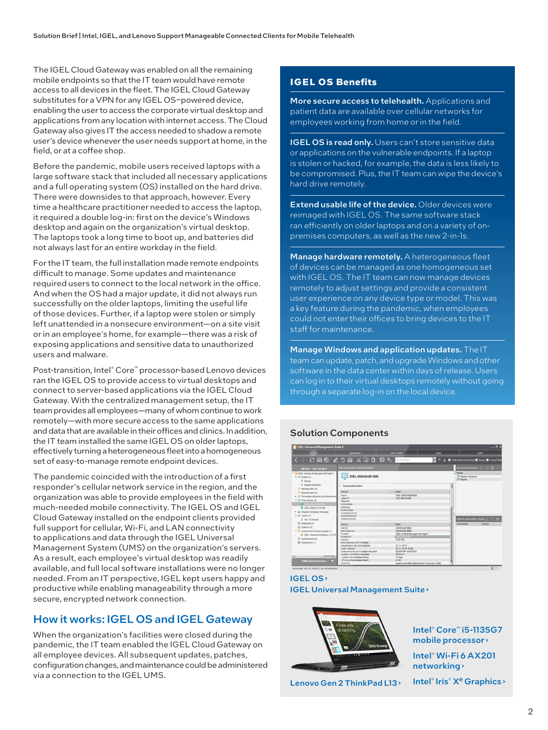The IGEL Cloud Gateway was enabled on all the remaining mobile endpoints so that the IT team would have remote access to all devices in the fleet. The IGEL Cloud Gateway substitutes for a VPN for any IGEL OS-powered device, enabling the user to access the corporate virtual desktop and applications from any location with internet access. The Cloud Gateway also gives IT the access needed to shadow a remote user's device whenever the user needs support at home, in the field, or at a coffee shop.

Before the pandemic, mobile users received laptops with a large software stack that included all necessary applications and a full operating system (OS) installed on the hard drive. There were downsides to that approach, however. Every time a healthcare practitioner needed to access the laptop, it required a double log-in: first on the device's Windows desktop and again on the organization's virtual desktop. The laptops took a long time to boot up, and batteries did not always last for an entire workday in the field.

For the IT team, the full installation made remote endpoints difficult to manage. Some updates and maintenance required users to connect to the local network in the office. And when the OS had a major update, it did not always run successfully on the older laptops, limiting the useful life of those devices. Further, if a laptop were stolen or simply left unattended in a nonsecure environment—on a site visit or in an employee's home, for example—there was a risk of exposing applications and sensitive data to unauthorized users and malware.

Post-transition, Intel® Core™ processor-based Lenovo devices ran the IGEL OS to provide access to virtual desktops and connect to server-based applications via the IGEL Cloud Gateway. With the centralized management setup, the IT team provides all employees—many of whom continue to work remotely—with more secure access to the same applications and data that are available in their offices and clinics. In addition, the IT team installed the same IGEL OS on older laptops, effectively turning a heterogeneous fleet into a homogeneous set of easy-to-manage remote endpoint devices.

The pandemic coincided with the introduction of a first responder's cellular network service in the region, and the organization was able to provide employees in the field with much-needed mobile connectivity. The IGEL OS and IGEL Cloud Gateway installed on the endpoint clients provided full support for cellular, Wi-Fi, and LAN connectivity to applications and data through the IGEL Universal Management System (UMS) on the organization's servers. As a result, each employee's virtual desktop was readily available, and full local software installations were no longer needed. From an IT perspective, IGEL kept users happy and productive while enabling manageability through a more secure, encrypted network connection.

# How it works: IGEL OS and IGEL Gateway

When the organization's facilities were closed during the pandemic, the IT team enabled the IGEL Cloud Gateway on all employee devices. All subsequent updates, patches, configuration changes, and maintenance could be administered via a connection to the IGEL UMS.

# **IGEL OS Benefits**

More secure access to telehealth. Applications and patient data are available over cellular networks for employees working from home or in the field.

IGEL OS is read only. Users can't store sensitive data or applications on the vulnerable endpoints. If a laptop is stolen or hacked, for example, the data is less likely to be compromised. Plus, the IT team can wipe the device's hard drive remotely.

Extend usable life of the device. Older devices were reimaged with IGEL OS. The same software stack ran efficiently on older laptops and on a variety of onpremises computers, as well as the new 2-in-1s.

Manage hardware remotely. A heterogeneous fleet of devices can be managed as one homogeneous set with IGEL OS. The IT team can now manage devices remotely to adjust settings and provide a consistent user experience on any device type or model. This was a key feature during the pandemic, when employees could not enter their offices to bring devices to the IT staff for maintenance.

Manage Windows and application updates. The IT team can update, patch, and upgrade Windows and other software in the data center within days of release. Users can log in to their virtual desktops remotely without going through a separate log-in on the local device.

#### Solution Components



### [IGEL OS](https://www.igel.com/igel-solution-family/igel-os/) › [IGEL Universal Management Suite](https://www.igel.com/igel-solution-family/universal-management-suite/) ›



[Lenovo Gen 2 ThinkPad L13](https://psref.lenovo.com/Detail/ThinkPad/ThinkPad_L13_Gen_2_Intel?M=20VH001HUS) ›

[Intel® Core™ i5-1135G7](https://www.intel.com/content/www/us/en/products/details/processors/core/i5.html)  [mobile processor](https://www.intel.com/content/www/us/en/products/details/processors/core/i5.html) › [Intel® Wi-Fi 6 AX201](https://cdrdv2.intel.com/v1/dl/getContent/607008)  [networking](https://cdrdv2.intel.com/v1/dl/getContent/607008) › Intel® Iris® X<sup>e</sup> Graphics ›